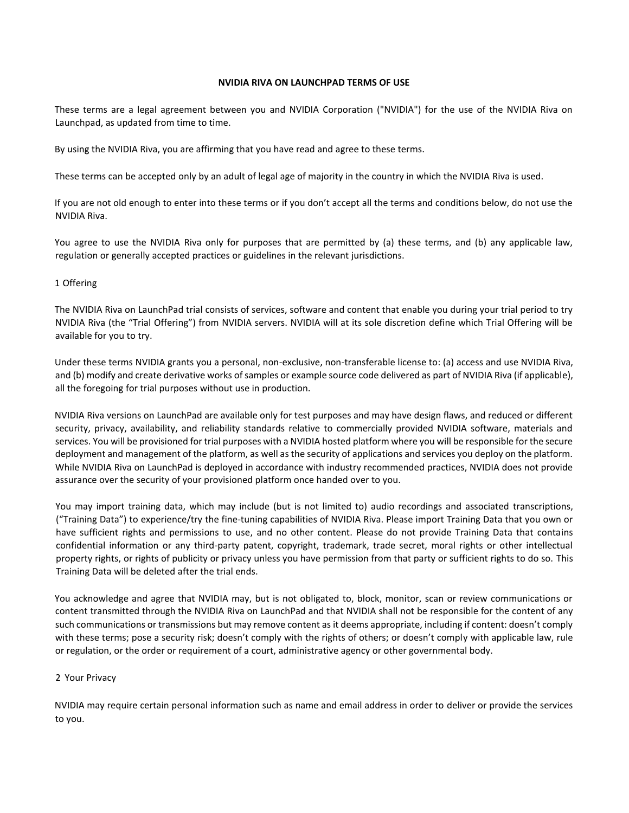### **NVIDIA RIVA ON LAUNCHPAD TERMS OF USE**

These terms are a legal agreement between you and NVIDIA Corporation ("NVIDIA") for the use of the NVIDIA Riva on Launchpad, as updated from time to time.

By using the NVIDIA Riva, you are affirming that you have read and agree to these terms.

These terms can be accepted only by an adult of legal age of majority in the country in which the NVIDIA Riva is used.

If you are not old enough to enter into these terms or if you don't accept all the terms and conditions below, do not use the NVIDIA Riva.

You agree to use the NVIDIA Riva only for purposes that are permitted by (a) these terms, and (b) any applicable law, regulation or generally accepted practices or guidelines in the relevant jurisdictions.

#### 1 Offering

The NVIDIA Riva on LaunchPad trial consists of services, software and content that enable you during your trial period to try NVIDIA Riva (the "Trial Offering") from NVIDIA servers. NVIDIA will at its sole discretion define which Trial Offering will be available for you to try.

Under these terms NVIDIA grants you a personal, non-exclusive, non-transferable license to: (a) access and use NVIDIA Riva, and (b) modify and create derivative works of samples or example source code delivered as part of NVIDIA Riva (if applicable), all the foregoing for trial purposes without use in production.

NVIDIA Riva versions on LaunchPad are available only for test purposes and may have design flaws, and reduced or different security, privacy, availability, and reliability standards relative to commercially provided NVIDIA software, materials and services. You will be provisioned for trial purposes with a NVIDIA hosted platform where you will be responsible for the secure deployment and management of the platform, as well as the security of applications and services you deploy on the platform. While NVIDIA Riva on LaunchPad is deployed in accordance with industry recommended practices, NVIDIA does not provide assurance over the security of your provisioned platform once handed over to you.

You may import training data, which may include (but is not limited to) audio recordings and associated transcriptions, ("Training Data") to experience/try the fine-tuning capabilities of NVIDIA Riva. Please import Training Data that you own or have sufficient rights and permissions to use, and no other content. Please do not provide Training Data that contains confidential information or any third-party patent, copyright, trademark, trade secret, moral rights or other intellectual property rights, or rights of publicity or privacy unless you have permission from that party or sufficient rights to do so. This Training Data will be deleted after the trial ends.

You acknowledge and agree that NVIDIA may, but is not obligated to, block, monitor, scan or review communications or content transmitted through the NVIDIA Riva on LaunchPad and that NVIDIA shall not be responsible for the content of any such communications or transmissions but may remove content as it deems appropriate, including if content: doesn't comply with these terms; pose a security risk; doesn't comply with the rights of others; or doesn't comply with applicable law, rule or regulation, or the order or requirement of a court, administrative agency or other governmental body.

#### 2 Your Privacy

NVIDIA may require certain personal information such as name and email address in order to deliver or provide the services to you.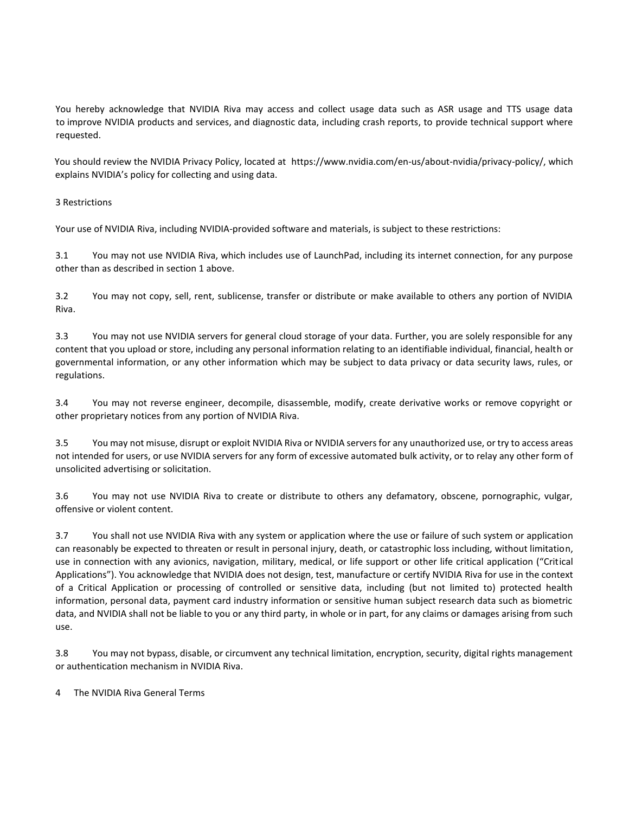You hereby acknowledge that NVIDIA Riva may access and collect usage data such as ASR usage and TTS usage data to improve NVIDIA products and services, and diagnostic data, including crash reports, to provide technical support where requested.

You should review the NVIDIA Privacy Policy, located a[t https://www.nvidia.com/en-us/about-nvidia/privacy-policy/,](https://www.nvidia.com/en-us/about-nvidia/privacy-policy/) which explains NVIDIA's policy for collecting and using data.

# 3 Restrictions

Your use of NVIDIA Riva, including NVIDIA-provided software and materials, is subject to these restrictions:

3.1 You may not use NVIDIA Riva, which includes use of LaunchPad, including its internet connection, for any purpose other than as described in section 1 above.

3.2 You may not copy, sell, rent, sublicense, transfer or distribute or make available to others any portion of NVIDIA Riva.

3.3 You may not use NVIDIA servers for general cloud storage of your data. Further, you are solely responsible for any content that you upload or store, including any personal information relating to an identifiable individual, financial, health or governmental information, or any other information which may be subject to data privacy or data security laws, rules, or regulations.

3.4 You may not reverse engineer, decompile, disassemble, modify, create derivative works or remove copyright or other proprietary notices from any portion of NVIDIA Riva.

3.5 You may not misuse, disrupt or exploit NVIDIA Riva or NVIDIA servers for any unauthorized use, or try to access areas not intended for users, or use NVIDIA servers for any form of excessive automated bulk activity, or to relay any other form of unsolicited advertising or solicitation.

3.6 You may not use NVIDIA Riva to create or distribute to others any defamatory, obscene, pornographic, vulgar, offensive or violent content.

3.7 You shall not use NVIDIA Riva with any system or application where the use or failure of such system or application can reasonably be expected to threaten or result in personal injury, death, or catastrophic loss including, without limitation, use in connection with any avionics, navigation, military, medical, or life support or other life critical application ("Critical Applications"). You acknowledge that NVIDIA does not design, test, manufacture or certify NVIDIA Riva for use in the context of a Critical Application or processing of controlled or sensitive data, including (but not limited to) protected health information, personal data, payment card industry information or sensitive human subject research data such as biometric data, and NVIDIA shall not be liable to you or any third party, in whole or in part, for any claims or damages arising from such use.

3.8 You may not bypass, disable, or circumvent any technical limitation, encryption, security, digital rights management or authentication mechanism in NVIDIA Riva.

4 The NVIDIA Riva General Terms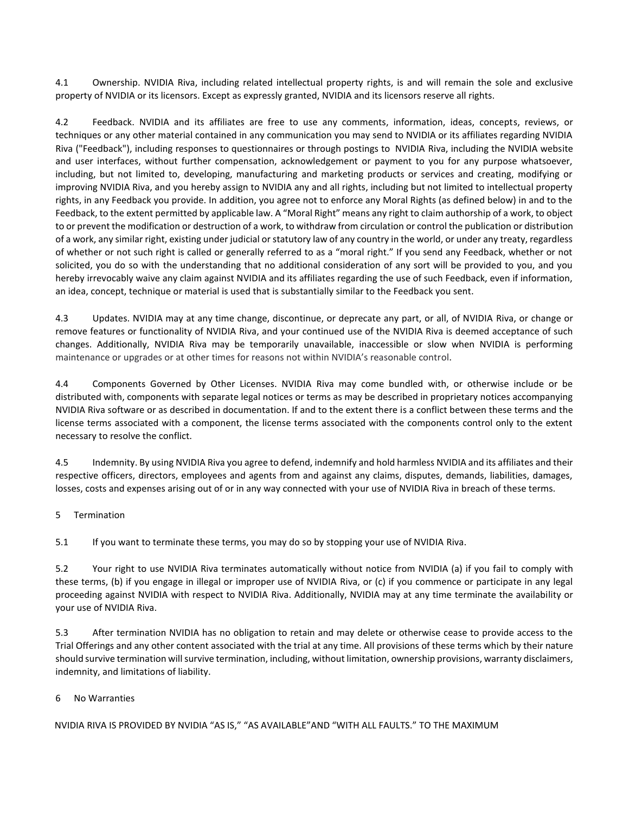4.1 Ownership. NVIDIA Riva, including related intellectual property rights, is and will remain the sole and exclusive property of NVIDIA or its licensors. Except as expressly granted, NVIDIA and its licensors reserve all rights.

4.2 Feedback. NVIDIA and its affiliates are free to use any comments, information, ideas, concepts, reviews, or techniques or any other material contained in any communication you may send to NVIDIA or its affiliates regarding NVIDIA Riva ("Feedback"), including responses to questionnaires or through postings to NVIDIA Riva, including the NVIDIA website and user interfaces, without further compensation, acknowledgement or payment to you for any purpose whatsoever, including, but not limited to, developing, manufacturing and marketing products or services and creating, modifying or improving NVIDIA Riva, and you hereby assign to NVIDIA any and all rights, including but not limited to intellectual property rights, in any Feedback you provide. In addition, you agree not to enforce any Moral Rights (as defined below) in and to the Feedback, to the extent permitted by applicable law. A "Moral Right" means any right to claim authorship of a work, to object to or prevent the modification or destruction of a work, to withdraw from circulation or control the publication or distribution of a work, any similar right, existing under judicial or statutory law of any country in the world, or under any treaty, regardless of whether or not such right is called or generally referred to as a "moral right." If you send any Feedback, whether or not solicited, you do so with the understanding that no additional consideration of any sort will be provided to you, and you hereby irrevocably waive any claim against NVIDIA and its affiliates regarding the use of such Feedback, even if information, an idea, concept, technique or material is used that is substantially similar to the Feedback you sent.

4.3 Updates. NVIDIA may at any time change, discontinue, or deprecate any part, or all, of NVIDIA Riva, or change or remove features or functionality of NVIDIA Riva, and your continued use of the NVIDIA Riva is deemed acceptance of such changes. Additionally, NVIDIA Riva may be temporarily unavailable, inaccessible or slow when NVIDIA is performing maintenance or upgrades or at other times for reasons not within NVIDIA's reasonable control.

4.4 Components Governed by Other Licenses. NVIDIA Riva may come bundled with, or otherwise include or be distributed with, components with separate legal notices or terms as may be described in proprietary notices accompanying NVIDIA Riva software or as described in documentation. If and to the extent there is a conflict between these terms and the license terms associated with a component, the license terms associated with the components control only to the extent necessary to resolve the conflict.

4.5 Indemnity. By using NVIDIA Riva you agree to defend, indemnify and hold harmless NVIDIA and its affiliates and their respective officers, directors, employees and agents from and against any claims, disputes, demands, liabilities, damages, losses, costs and expenses arising out of or in any way connected with your use of NVIDIA Riva in breach of these terms.

5 Termination

5.1 If you want to terminate these terms, you may do so by stopping your use of NVIDIA Riva.

5.2 Your right to use NVIDIA Riva terminates automatically without notice from NVIDIA (a) if you fail to comply with these terms, (b) if you engage in illegal or improper use of NVIDIA Riva, or (c) if you commence or participate in any legal proceeding against NVIDIA with respect to NVIDIA Riva. Additionally, NVIDIA may at any time terminate the availability or your use of NVIDIA Riva.

5.3 After termination NVIDIA has no obligation to retain and may delete or otherwise cease to provide access to the Trial Offerings and any other content associated with the trial at any time. All provisions of these terms which by their nature should survive termination will survive termination, including, without limitation, ownership provisions, warranty disclaimers, indemnity, and limitations of liability.

#### 6 No Warranties

NVIDIA RIVA IS PROVIDED BY NVIDIA "AS IS," "AS AVAILABLE"AND "WITH ALL FAULTS." TO THE MAXIMUM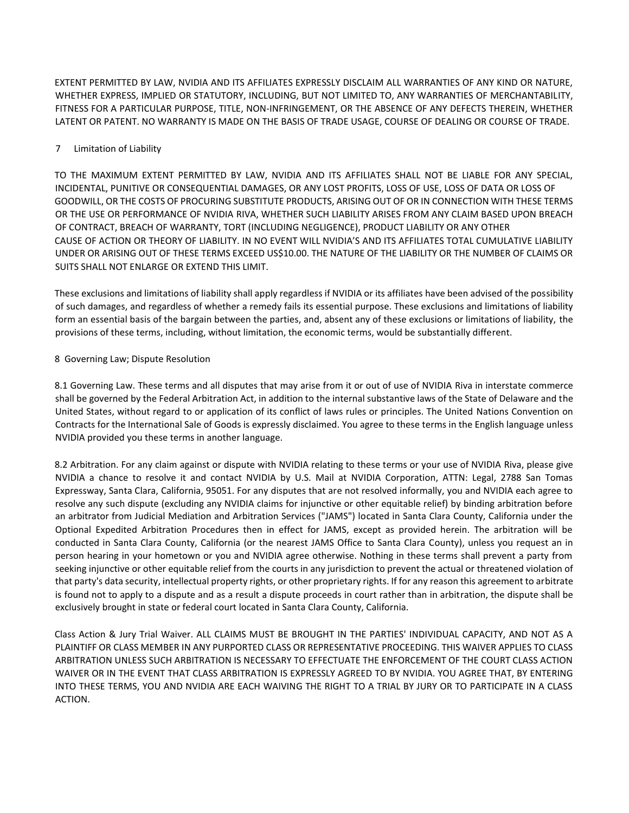EXTENT PERMITTED BY LAW, NVIDIA AND ITS AFFILIATES EXPRESSLY DISCLAIM ALL WARRANTIES OF ANY KIND OR NATURE, WHETHER EXPRESS, IMPLIED OR STATUTORY, INCLUDING, BUT NOT LIMITED TO, ANY WARRANTIES OF MERCHANTABILITY, FITNESS FOR A PARTICULAR PURPOSE, TITLE, NON-INFRINGEMENT, OR THE ABSENCE OF ANY DEFECTS THEREIN, WHETHER LATENT OR PATENT. NO WARRANTY IS MADE ON THE BASIS OF TRADE USAGE, COURSE OF DEALING OR COURSE OF TRADE.

## 7 Limitation of Liability

TO THE MAXIMUM EXTENT PERMITTED BY LAW, NVIDIA AND ITS AFFILIATES SHALL NOT BE LIABLE FOR ANY SPECIAL, INCIDENTAL, PUNITIVE OR CONSEQUENTIAL DAMAGES, OR ANY LOST PROFITS, LOSS OF USE, LOSS OF DATA OR LOSS OF GOODWILL, OR THE COSTS OF PROCURING SUBSTITUTE PRODUCTS, ARISING OUT OF OR IN CONNECTION WITH THESE TERMS OR THE USE OR PERFORMANCE OF NVIDIA RIVA, WHETHER SUCH LIABILITY ARISES FROM ANY CLAIM BASED UPON BREACH OF CONTRACT, BREACH OF WARRANTY, TORT (INCLUDING NEGLIGENCE), PRODUCT LIABILITY OR ANY OTHER CAUSE OF ACTION OR THEORY OF LIABILITY. IN NO EVENT WILL NVIDIA'S AND ITS AFFILIATES TOTAL CUMULATIVE LIABILITY UNDER OR ARISING OUT OF THESE TERMS EXCEED US\$10.00. THE NATURE OF THE LIABILITY OR THE NUMBER OF CLAIMS OR SUITS SHALL NOT ENLARGE OR EXTEND THIS LIMIT.

These exclusions and limitations of liability shall apply regardless if NVIDIA or its affiliates have been advised of the possibility of such damages, and regardless of whether a remedy fails its essential purpose. These exclusions and limitations of liability form an essential basis of the bargain between the parties, and, absent any of these exclusions or limitations of liability, the provisions of these terms, including, without limitation, the economic terms, would be substantially different.

## 8 Governing Law; Dispute Resolution

8.1 Governing Law. These terms and all disputes that may arise from it or out of use of NVIDIA Riva in interstate commerce shall be governed by the Federal Arbitration Act, in addition to the internal substantive laws of the State of Delaware and the United States, without regard to or application of its conflict of laws rules or principles. The United Nations Convention on Contracts for the International Sale of Goods is expressly disclaimed. You agree to these terms in the English language unless NVIDIA provided you these terms in another language.

8.2 Arbitration. For any claim against or dispute with NVIDIA relating to these terms or your use of NVIDIA Riva, please give NVIDIA a chance to resolve it and contact NVIDIA by U.S. Mail at NVIDIA Corporation, ATTN: Legal, 2788 San Tomas Expressway, Santa Clara, California, 95051. For any disputes that are not resolved informally, you and NVIDIA each agree to resolve any such dispute (excluding any NVIDIA claims for injunctive or other equitable relief) by binding arbitration before an arbitrator from Judicial Mediation and Arbitration Services ("JAMS") located in Santa Clara County, California under the Optional Expedited Arbitration Procedures then in effect for JAMS, except as provided herein. The arbitration will be conducted in Santa Clara County, California (or the nearest JAMS Office to Santa Clara County), unless you request an in person hearing in your hometown or you and NVIDIA agree otherwise. Nothing in these terms shall prevent a party from seeking injunctive or other equitable relief from the courts in any jurisdiction to prevent the actual or threatened violation of that party's data security, intellectual property rights, or other proprietary rights. If for any reason this agreement to arbitrate is found not to apply to a dispute and as a result a dispute proceeds in court rather than in arbitration, the dispute shall be exclusively brought in state or federal court located in Santa Clara County, California.

Class Action & Jury Trial Waiver. ALL CLAIMS MUST BE BROUGHT IN THE PARTIES' INDIVIDUAL CAPACITY, AND NOT AS A PLAINTIFF OR CLASS MEMBER IN ANY PURPORTED CLASS OR REPRESENTATIVE PROCEEDING. THIS WAIVER APPLIES TO CLASS ARBITRATION UNLESS SUCH ARBITRATION IS NECESSARY TO EFFECTUATE THE ENFORCEMENT OF THE COURT CLASS ACTION WAIVER OR IN THE EVENT THAT CLASS ARBITRATION IS EXPRESSLY AGREED TO BY NVIDIA. YOU AGREE THAT, BY ENTERING INTO THESE TERMS, YOU AND NVIDIA ARE EACH WAIVING THE RIGHT TO A TRIAL BY JURY OR TO PARTICIPATE IN A CLASS ACTION.